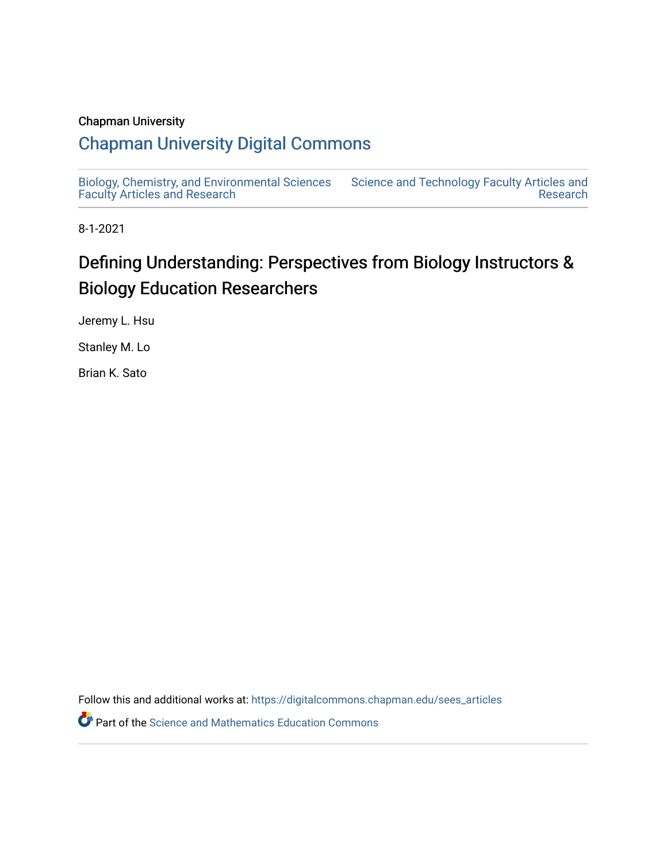#### Chapman University

## [Chapman University Digital Commons](https://digitalcommons.chapman.edu/)

[Biology, Chemistry, and Environmental Sciences](https://digitalcommons.chapman.edu/sees_articles) [Faculty Articles and Research](https://digitalcommons.chapman.edu/sees_articles) [Science and Technology Faculty Articles and](https://digitalcommons.chapman.edu/science_articles)  [Research](https://digitalcommons.chapman.edu/science_articles) 

8-1-2021

# Defining Understanding: Perspectives from Biology Instructors & Biology Education Researchers

Jeremy L. Hsu

Stanley M. Lo

Brian K. Sato

Follow this and additional works at: [https://digitalcommons.chapman.edu/sees\\_articles](https://digitalcommons.chapman.edu/sees_articles?utm_source=digitalcommons.chapman.edu%2Fsees_articles%2F456&utm_medium=PDF&utm_campaign=PDFCoverPages) 

**P** Part of the Science and Mathematics Education Commons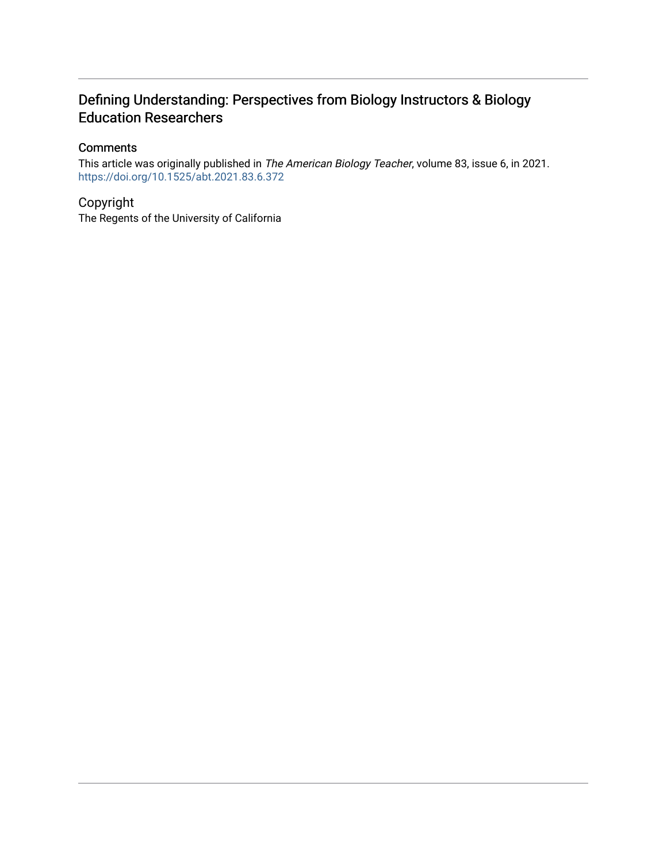### Defining Understanding: Perspectives from Biology Instructors & Biology Education Researchers

#### **Comments**

This article was originally published in The American Biology Teacher, volume 83, issue 6, in 2021. <https://doi.org/10.1525/abt.2021.83.6.372>

#### Copyright

The Regents of the University of California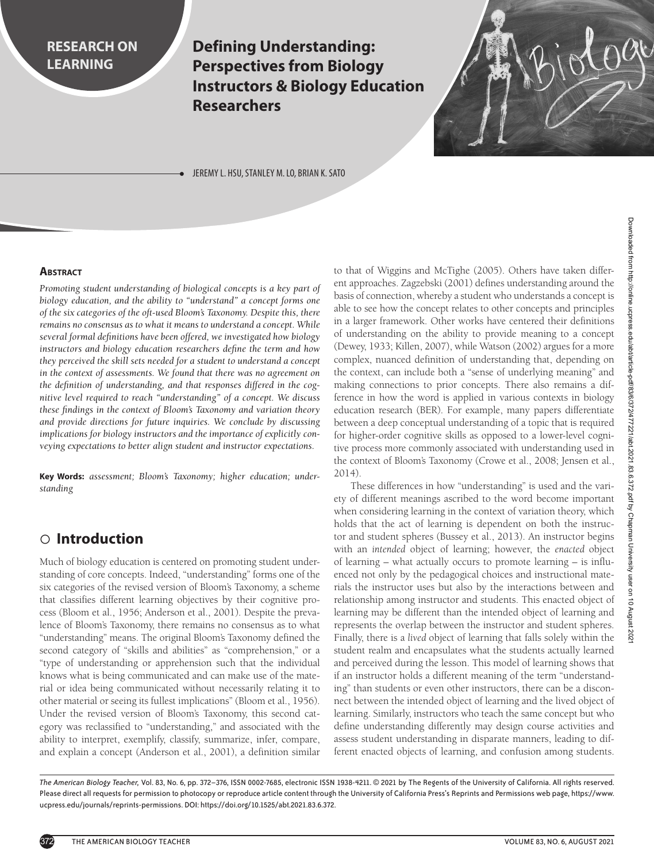### **RESEARCH ON LEARNING**

**Defining Understanding: Perspectives from Biology Instructors & Biology Education Researchers**



JEREMY L. HSU, STANLEY M. LO, BRIAN K. SATO

#### **ABSTRACT**

*Promoting student understanding of biological concepts is a key part of biology education, and the ability to "understand" a concept forms one of the six categories of the oft-used Bloom's Taxonomy. Despite this, there remains no consensus as to what it means to understand a concept. While several formal definitions have been offered, we investigated how biology instructors and biology education researchers define the term and how they perceived the skill sets needed for a student to understand a concept in the context of assessments. We found that there was no agreement on the definition of understanding, and that responses differed in the cognitive level required to reach "understanding" of a concept. We discuss these findings in the context of Bloom's Taxonomy and variation theory and provide directions for future inquiries. We conclude by discussing implications for biology instructors and the importance of explicitly conveying expectations to better align student and instructor expectations.*

**Key Words:** *assessment; Bloom's Taxonomy; higher education; understanding*

### c **Introduction**

Much of biology education is centered on promoting student understanding of core concepts. Indeed, "understanding" forms one of the six categories of the revised version of Bloom's Taxonomy, a scheme that classifies different learning objectives by their cognitive process (Bloom et al., 1956; Anderson et al., 2001). Despite the prevalence of Bloom's Taxonomy, there remains no consensus as to what "understanding" means. The original Bloom's Taxonomy defined the second category of "skills and abilities" as "comprehension," or a "type of understanding or apprehension such that the individual knows what is being communicated and can make use of the material or idea being communicated without necessarily relating it to other material or seeing its fullest implications" (Bloom et al., 1956). Under the revised version of Bloom's Taxonomy, this second category was reclassified to "understanding," and associated with the ability to interpret, exemplify, classify, summarize, infer, compare, and explain a concept (Anderson et al., 2001), a definition similar

to that of Wiggins and McTighe (2005). Others have taken different approaches. Zagzebski (2001) defines understanding around the basis of connection, whereby a student who understands a concept is able to see how the concept relates to other concepts and principles in a larger framework. Other works have centered their definitions of understanding on the ability to provide meaning to a concept (Dewey, 1933; Killen, 2007), while Watson (2002) argues for a more complex, nuanced definition of understanding that, depending on the context, can include both a "sense of underlying meaning" and making connections to prior concepts. There also remains a difference in how the word is applied in various contexts in biology education research (BER). For example, many papers differentiate between a deep conceptual understanding of a topic that is required for higher-order cognitive skills as opposed to a lower-level cognitive process more commonly associated with understanding used in the context of Bloom's Taxonomy (Crowe et al., 2008; Jensen et al., 2014).

These differences in how "understanding" is used and the variety of different meanings ascribed to the word become important when considering learning in the context of variation theory, which holds that the act of learning is dependent on both the instructor and student spheres (Bussey et al., 2013). An instructor begins with an *intended* object of learning; however, the *enacted* object of learning – what actually occurs to promote learning – is influenced not only by the pedagogical choices and instructional materials the instructor uses but also by the interactions between and relationship among instructor and students. This enacted object of learning may be different than the intended object of learning and represents the overlap between the instructor and student spheres. Finally, there is a *lived* object of learning that falls solely within the student realm and encapsulates what the students actually learned and perceived during the lesson. This model of learning shows that if an instructor holds a different meaning of the term "understanding" than students or even other instructors, there can be a disconnect between the intended object of learning and the lived object of learning. Similarly, instructors who teach the same concept but who define understanding differently may design course activities and assess student understanding in disparate manners, leading to different enacted objects of learning, and confusion among students.

*The American Biology Teacher,* Vol. 83, No. 6, pp. 372–376, ISSN 0002-7685, electronic ISSN 1938-4211. © 2021 by The Regents of the University of California. All rights reserved. Please direct all requests for permission to photocopy or reproduce article content through the University of California Press's Reprints and Permissions web page, https://www. ucpress.edu/journals/reprints-permissions. DOI: https://doi.org/10.1525/abt.2021.83.6.372.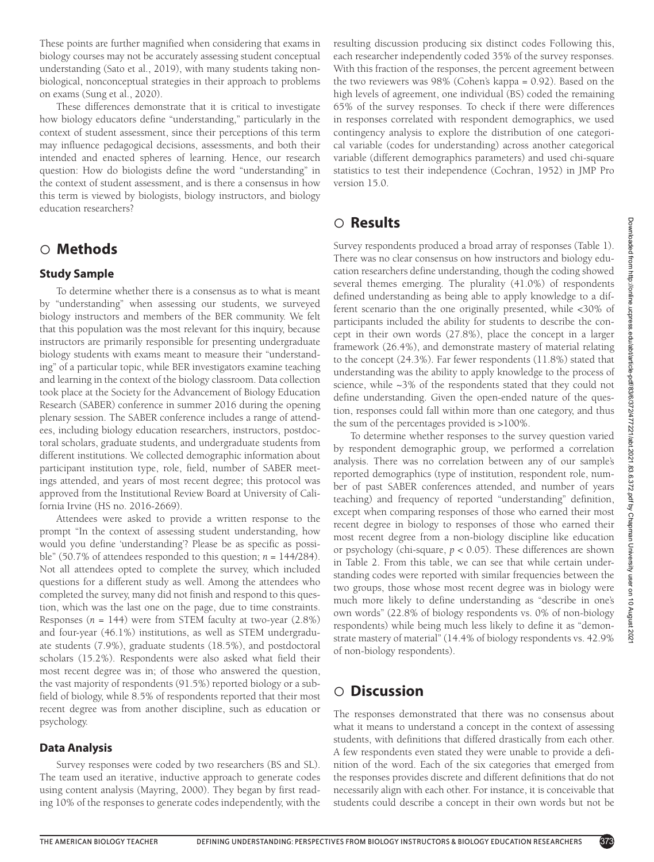These points are further magnified when considering that exams in biology courses may not be accurately assessing student conceptual understanding (Sato et al., 2019), with many students taking nonbiological, nonconceptual strategies in their approach to problems on exams (Sung et al., 2020).

These differences demonstrate that it is critical to investigate how biology educators define "understanding," particularly in the context of student assessment, since their perceptions of this term may influence pedagogical decisions, assessments, and both their intended and enacted spheres of learning. Hence, our research question: How do biologists define the word "understanding" in the context of student assessment, and is there a consensus in how this term is viewed by biologists, biology instructors, and biology education researchers?

### c **Methods**

#### **Study Sample**

To determine whether there is a consensus as to what is meant by "understanding" when assessing our students, we surveyed biology instructors and members of the BER community. We felt that this population was the most relevant for this inquiry, because instructors are primarily responsible for presenting undergraduate biology students with exams meant to measure their "understanding" of a particular topic, while BER investigators examine teaching and learning in the context of the biology classroom. Data collection took place at the Society for the Advancement of Biology Education Research (SABER) conference in summer 2016 during the opening plenary session. The SABER conference includes a range of attendees, including biology education researchers, instructors, postdoctoral scholars, graduate students, and undergraduate students from different institutions. We collected demographic information about participant institution type, role, field, number of SABER meetings attended, and years of most recent degree; this protocol was approved from the Institutional Review Board at University of California Irvine (HS no. 2016-2669).

Attendees were asked to provide a written response to the prompt "In the context of assessing student understanding, how would you define 'understanding'? Please be as specific as possible" (50.7% of attendees responded to this question; *n* = 144/284). Not all attendees opted to complete the survey, which included questions for a different study as well. Among the attendees who completed the survey, many did not finish and respond to this question, which was the last one on the page, due to time constraints. Responses  $(n = 144)$  were from STEM faculty at two-year  $(2.8\%)$ and four-year (46.1%) institutions, as well as STEM undergraduate students (7.9%), graduate students (18.5%), and postdoctoral scholars (15.2%). Respondents were also asked what field their most recent degree was in; of those who answered the question, the vast majority of respondents (91.5%) reported biology or a subfield of biology, while 8.5% of respondents reported that their most recent degree was from another discipline, such as education or psychology.

#### **Data Analysis**

Survey responses were coded by two researchers (BS and SL). The team used an iterative, inductive approach to generate codes using content analysis (Mayring, 2000). They began by first reading 10% of the responses to generate codes independently, with the resulting discussion producing six distinct codes Following this, each researcher independently coded 35% of the survey responses. With this fraction of the responses, the percent agreement between the two reviewers was 98% (Cohen's kappa = 0.92). Based on the high levels of agreement, one individual (BS) coded the remaining 65% of the survey responses. To check if there were differences in responses correlated with respondent demographics, we used contingency analysis to explore the distribution of one categorical variable (codes for understanding) across another categorical variable (different demographics parameters) and used chi-square statistics to test their independence (Cochran, 1952) in JMP Pro version 15.0.

### c **Results**

Survey respondents produced a broad array of responses (Table 1). There was no clear consensus on how instructors and biology education researchers define understanding, though the coding showed several themes emerging. The plurality (41.0%) of respondents defined understanding as being able to apply knowledge to a different scenario than the one originally presented, while <30% of participants included the ability for students to describe the concept in their own words (27.8%), place the concept in a larger framework (26.4%), and demonstrate mastery of material relating to the concept (24.3%). Far fewer respondents (11.8%) stated that understanding was the ability to apply knowledge to the process of science, while ~3% of the respondents stated that they could not define understanding. Given the open-ended nature of the question, responses could fall within more than one category, and thus the sum of the percentages provided is >100%.

To determine whether responses to the survey question varied by respondent demographic group, we performed a correlation analysis. There was no correlation between any of our sample's reported demographics (type of institution, respondent role, number of past SABER conferences attended, and number of years teaching) and frequency of reported "understanding" definition, except when comparing responses of those who earned their most recent degree in biology to responses of those who earned their most recent degree from a non-biology discipline like education or psychology (chi-square, *p* < 0.05). These differences are shown in Table 2. From this table, we can see that while certain understanding codes were reported with similar frequencies between the two groups, those whose most recent degree was in biology were much more likely to define understanding as "describe in one's own words" (22.8% of biology respondents vs. 0% of non-biology respondents) while being much less likely to define it as "demonstrate mastery of material" (14.4% of biology respondents vs. 42.9% of non-biology respondents).

### c **Discussion**

The responses demonstrated that there was no consensus about what it means to understand a concept in the context of assessing students, with definitions that differed drastically from each other. A few respondents even stated they were unable to provide a definition of the word. Each of the six categories that emerged from the responses provides discrete and different definitions that do not necessarily align with each other. For instance, it is conceivable that students could describe a concept in their own words but not be

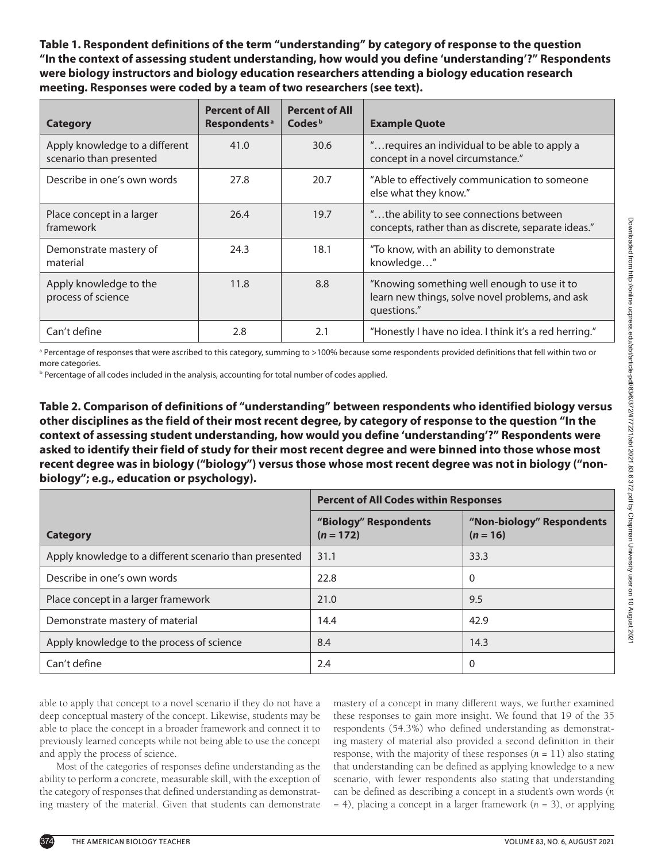**Table 1. Respondent definitions of the term "understanding" by category of response to the question "In the context of assessing student understanding, how would you define 'understanding'?" Respondents were biology instructors and biology education researchers attending a biology education research meeting. Responses were coded by a team of two researchers (see text).** 

| <b>Category</b>                                           | <b>Percent of All</b><br>Respondents <sup>a</sup> | <b>Percent of All</b><br>Codes <sup>b</sup> | <b>Example Quote</b>                                                                                          |
|-----------------------------------------------------------|---------------------------------------------------|---------------------------------------------|---------------------------------------------------------------------------------------------------------------|
| Apply knowledge to a different<br>scenario than presented | 41.0                                              | 30.6                                        | " requires an individual to be able to apply a<br>concept in a novel circumstance."                           |
| Describe in one's own words                               | 27.8                                              | 20.7                                        | "Able to effectively communication to someone<br>else what they know."                                        |
| Place concept in a larger<br>framework                    | 26.4                                              | 19.7                                        | "the ability to see connections between<br>concepts, rather than as discrete, separate ideas."                |
| Demonstrate mastery of<br>material                        | 24.3                                              | 18.1                                        | "To know, with an ability to demonstrate<br>knowledge"                                                        |
| Apply knowledge to the<br>process of science              | 11.8                                              | 8.8                                         | "Knowing something well enough to use it to<br>learn new things, solve novel problems, and ask<br>questions." |
| Can't define                                              | 2.8                                               | 2.1                                         | "Honestly I have no idea. I think it's a red herring."                                                        |

a Percentage of responses that were ascribed to this category, summing to >100% because some respondents provided definitions that fell within two or more categories.

*b* Percentage of all codes included in the analysis, accounting for total number of codes applied.

**Table 2. Comparison of definitions of "understanding" between respondents who identified biology versus other disciplines as the field of their most recent degree, by category of response to the question "In the context of assessing student understanding, how would you define 'understanding'?" Respondents were asked to identify their field of study for their most recent degree and were binned into those whose most recent degree was in biology ("biology") versus those whose most recent degree was not in biology ("nonbiology"; e.g., education or psychology).**

|                                                        | <b>Percent of All Codes within Responses</b> |                                         |  |
|--------------------------------------------------------|----------------------------------------------|-----------------------------------------|--|
| Category                                               | "Biology" Respondents<br>$(n = 172)$         | "Non-biology" Respondents<br>$(n = 16)$ |  |
| Apply knowledge to a different scenario than presented | 31.1                                         | 33.3                                    |  |
| Describe in one's own words                            | 22.8                                         | 0                                       |  |
| Place concept in a larger framework                    | 21.0                                         | 9.5                                     |  |
| Demonstrate mastery of material                        | 14.4                                         | 42.9                                    |  |
| Apply knowledge to the process of science              | 8.4                                          | 14.3                                    |  |
| Can't define                                           | 2.4                                          | 0                                       |  |

able to apply that concept to a novel scenario if they do not have a deep conceptual mastery of the concept. Likewise, students may be able to place the concept in a broader framework and connect it to previously learned concepts while not being able to use the concept and apply the process of science.

Most of the categories of responses define understanding as the ability to perform a concrete, measurable skill, with the exception of the category of responses that defined understanding as demonstrating mastery of the material. Given that students can demonstrate

mastery of a concept in many different ways, we further examined these responses to gain more insight. We found that 19 of the 35 respondents (54.3%) who defined understanding as demonstrating mastery of material also provided a second definition in their response, with the majority of these responses  $(n = 11)$  also stating that understanding can be defined as applying knowledge to a new scenario, with fewer respondents also stating that understanding can be defined as describing a concept in a student's own words (*n* = 4), placing a concept in a larger framework (*n* = 3), or applying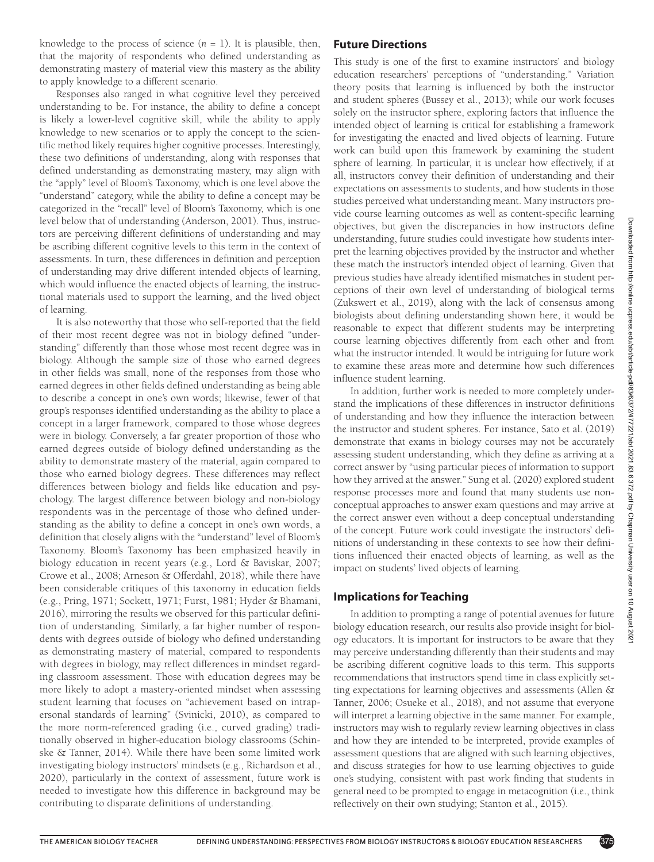knowledge to the process of science  $(n = 1)$ . It is plausible, then, that the majority of respondents who defined understanding as demonstrating mastery of material view this mastery as the ability to apply knowledge to a different scenario.

Responses also ranged in what cognitive level they perceived understanding to be. For instance, the ability to define a concept is likely a lower-level cognitive skill, while the ability to apply knowledge to new scenarios or to apply the concept to the scientific method likely requires higher cognitive processes. Interestingly, these two definitions of understanding, along with responses that defined understanding as demonstrating mastery, may align with the "apply" level of Bloom's Taxonomy, which is one level above the "understand" category, while the ability to define a concept may be categorized in the "recall" level of Bloom's Taxonomy, which is one level below that of understanding (Anderson, 2001). Thus, instructors are perceiving different definitions of understanding and may be ascribing different cognitive levels to this term in the context of assessments. In turn, these differences in definition and perception of understanding may drive different intended objects of learning, which would influence the enacted objects of learning, the instructional materials used to support the learning, and the lived object of learning.

It is also noteworthy that those who self-reported that the field of their most recent degree was not in biology defined "understanding" differently than those whose most recent degree was in biology. Although the sample size of those who earned degrees in other fields was small, none of the responses from those who earned degrees in other fields defined understanding as being able to describe a concept in one's own words; likewise, fewer of that group's responses identified understanding as the ability to place a concept in a larger framework, compared to those whose degrees were in biology. Conversely, a far greater proportion of those who earned degrees outside of biology defined understanding as the ability to demonstrate mastery of the material, again compared to those who earned biology degrees. These differences may reflect differences between biology and fields like education and psychology. The largest difference between biology and non-biology respondents was in the percentage of those who defined understanding as the ability to define a concept in one's own words, a definition that closely aligns with the "understand" level of Bloom's Taxonomy. Bloom's Taxonomy has been emphasized heavily in biology education in recent years (e.g., Lord & Baviskar, 2007; Crowe et al., 2008; Arneson & Offerdahl, 2018), while there have been considerable critiques of this taxonomy in education fields (e.g., Pring, 1971; Sockett, 1971; Furst, 1981; Hyder & Bhamani, 2016), mirroring the results we observed for this particular definition of understanding. Similarly, a far higher number of respondents with degrees outside of biology who defined understanding as demonstrating mastery of material, compared to respondents with degrees in biology, may reflect differences in mindset regarding classroom assessment. Those with education degrees may be more likely to adopt a mastery-oriented mindset when assessing student learning that focuses on "achievement based on intrapersonal standards of learning" (Svinicki, 2010), as compared to the more norm-referenced grading (i.e., curved grading) traditionally observed in higher-education biology classrooms (Schinske & Tanner, 2014). While there have been some limited work investigating biology instructors' mindsets (e.g., Richardson et al., 2020), particularly in the context of assessment, future work is needed to investigate how this difference in background may be contributing to disparate definitions of understanding.

#### **Future Directions**

This study is one of the first to examine instructors' and biology education researchers' perceptions of "understanding." Variation theory posits that learning is influenced by both the instructor and student spheres (Bussey et al., 2013); while our work focuses solely on the instructor sphere, exploring factors that influence the intended object of learning is critical for establishing a framework for investigating the enacted and lived objects of learning. Future work can build upon this framework by examining the student sphere of learning. In particular, it is unclear how effectively, if at all, instructors convey their definition of understanding and their expectations on assessments to students, and how students in those studies perceived what understanding meant. Many instructors provide course learning outcomes as well as content-specific learning objectives, but given the discrepancies in how instructors define understanding, future studies could investigate how students interpret the learning objectives provided by the instructor and whether these match the instructor's intended object of learning. Given that previous studies have already identified mismatches in student perceptions of their own level of understanding of biological terms (Zukswert et al., 2019), along with the lack of consensus among biologists about defining understanding shown here, it would be reasonable to expect that different students may be interpreting course learning objectives differently from each other and from what the instructor intended. It would be intriguing for future work to examine these areas more and determine how such differences influence student learning.

In addition, further work is needed to more completely understand the implications of these differences in instructor definitions of understanding and how they influence the interaction between the instructor and student spheres. For instance, Sato et al. (2019) demonstrate that exams in biology courses may not be accurately assessing student understanding, which they define as arriving at a correct answer by "using particular pieces of information to support how they arrived at the answer." Sung et al. (2020) explored student response processes more and found that many students use nonconceptual approaches to answer exam questions and may arrive at the correct answer even without a deep conceptual understanding of the concept. Future work could investigate the instructors' definitions of understanding in these contexts to see how their definitions influenced their enacted objects of learning, as well as the impact on students' lived objects of learning.

#### **Implications for Teaching**

In addition to prompting a range of potential avenues for future biology education research, our results also provide insight for biology educators. It is important for instructors to be aware that they may perceive understanding differently than their students and may be ascribing different cognitive loads to this term. This supports recommendations that instructors spend time in class explicitly setting expectations for learning objectives and assessments (Allen & Tanner, 2006; Osueke et al., 2018), and not assume that everyone will interpret a learning objective in the same manner. For example, instructors may wish to regularly review learning objectives in class and how they are intended to be interpreted, provide examples of assessment questions that are aligned with such learning objectives, and discuss strategies for how to use learning objectives to guide one's studying, consistent with past work finding that students in general need to be prompted to engage in metacognition (i.e., think reflectively on their own studying; Stanton et al., 2015).